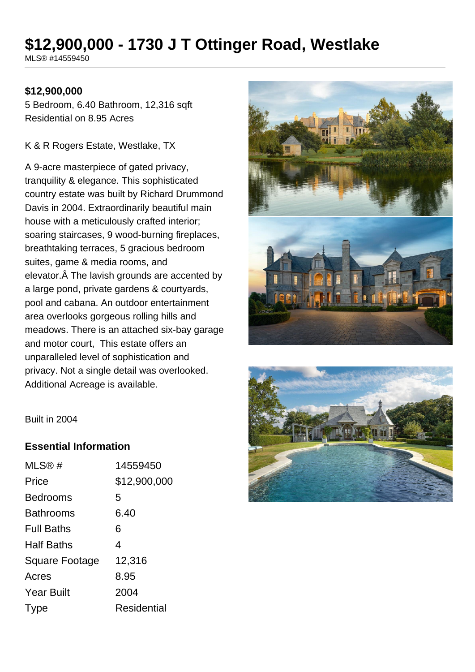# **\$12,900,000 - 1730 J T Ottinger Road, Westlake**

MLS® #14559450

#### **\$12,900,000**

5 Bedroom, 6.40 Bathroom, 12,316 sqft Residential on 8.95 Acres

K & R Rogers Estate, Westlake, TX

A 9-acre masterpiece of gated privacy, tranquility & elegance. This sophisticated country estate was built by Richard Drummond Davis in 2004. Extraordinarily beautiful main house with a meticulously crafted interior; soaring staircases, 9 wood-burning fireplaces, breathtaking terraces, 5 gracious bedroom suites, game & media rooms, and elevator. Â The lavish grounds are accented by a large pond, private gardens & courtyards, pool and cabana. An outdoor entertainment area overlooks gorgeous rolling hills and meadows. There is an attached six-bay garage and motor court, This estate offers an unparalleled level of sophistication and privacy. Not a single detail was overlooked. Additional Acreage is available.





Built in 2004

#### **Essential Information**

| MLS@#                 | 14559450           |
|-----------------------|--------------------|
| Price                 | \$12,900,000       |
| <b>Bedrooms</b>       | 5                  |
| <b>Bathrooms</b>      | 6.40               |
| <b>Full Baths</b>     | 6                  |
| <b>Half Baths</b>     | 4                  |
| <b>Square Footage</b> | 12,316             |
| Acres                 | 8.95               |
| <b>Year Built</b>     | 2004               |
| Type                  | <b>Residential</b> |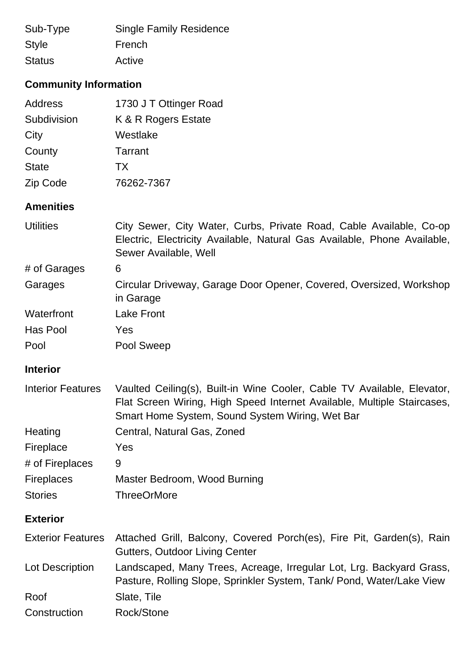| Sub-Type                     | <b>Single Family Residence</b> |  |
|------------------------------|--------------------------------|--|
| <b>Style</b>                 | French                         |  |
| <b>Status</b>                | Active                         |  |
| <b>Community Information</b> |                                |  |
| Address                      | 1730 J T Ottinger Road         |  |

| Subdivision  | K & R Rogers Estate |
|--------------|---------------------|
| City         | Westlake            |
| County       | Tarrant             |
| <b>State</b> | TX                  |
| Zip Code     | 76262-7367          |

## **Amenities**

| <b>Utilities</b> | City Sewer, City Water, Curbs, Private Road, Cable Available, Co-op<br>Electric, Electricity Available, Natural Gas Available, Phone Available, |
|------------------|-------------------------------------------------------------------------------------------------------------------------------------------------|
|                  | Sewer Available, Well                                                                                                                           |
| # of Garages     | 6                                                                                                                                               |
| Garages          | Circular Driveway, Garage Door Opener, Covered, Oversized, Workshop<br>in Garage                                                                |
| Waterfront       | <b>Lake Front</b>                                                                                                                               |
| Has Pool         | Yes                                                                                                                                             |
| Pool             | Pool Sweep                                                                                                                                      |

## **Interior**

| <b>Interior Features</b> | Vaulted Ceiling(s), Built-in Wine Cooler, Cable TV Available, Elevator,<br>Flat Screen Wiring, High Speed Internet Available, Multiple Staircases,<br>Smart Home System, Sound System Wiring, Wet Bar |
|--------------------------|-------------------------------------------------------------------------------------------------------------------------------------------------------------------------------------------------------|
| Heating                  | Central, Natural Gas, Zoned                                                                                                                                                                           |
| Fireplace                | Yes                                                                                                                                                                                                   |
| # of Fireplaces          | 9                                                                                                                                                                                                     |
| <b>Fireplaces</b>        | Master Bedroom, Wood Burning                                                                                                                                                                          |
| <b>Stories</b>           | <b>ThreeOrMore</b>                                                                                                                                                                                    |
| <b>Exterior</b>          |                                                                                                                                                                                                       |
| <b>Exterior Features</b> | Attached Grill, Balcony, Covered Porch(es), Fire Pit, Garden(s), Rain<br><b>Gutters, Outdoor Living Center</b>                                                                                        |
| Lot Description          | Landscaped, Many Trees, Acreage, Irregular Lot, Lrg. Backyard Grass,<br>Pasture, Rolling Slope, Sprinkler System, Tank/ Pond, Water/Lake View                                                         |
| Roof                     | Slate, Tile                                                                                                                                                                                           |
| Construction             | Rock/Stone                                                                                                                                                                                            |